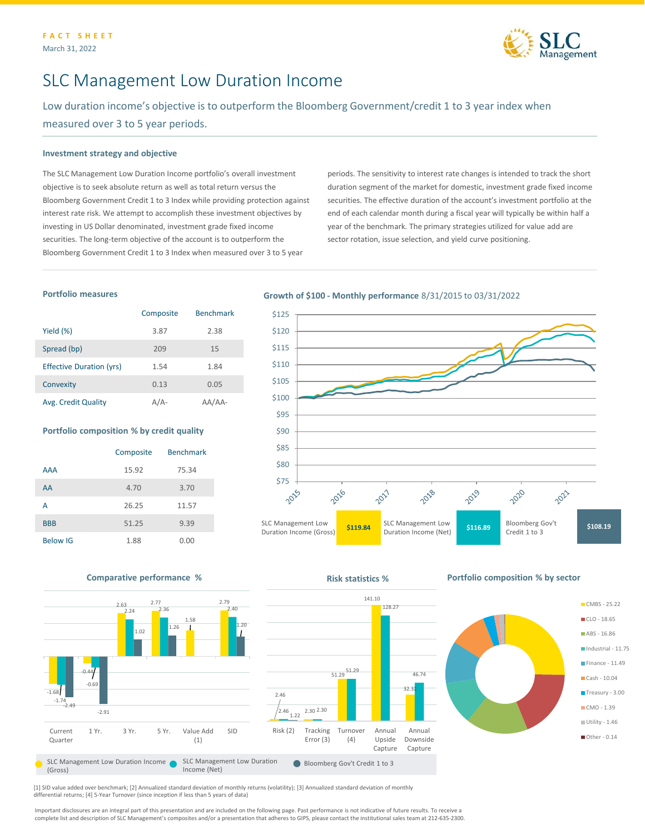

# SLC Management Low Duration Income

Low duration income's objective is to outperform the Bloomberg Government/credit 1 to 3 year index when measured over 3 to 5 year periods.

### **Investment strategy and objective**

The SLC Management Low Duration Income portfolio's overall investment objective is to seek absolute return as well as total return versus the Bloomberg Government Credit 1 to 3 Index while providing protection against interest rate risk. We attempt to accomplish these investment objectives by investing in US Dollar denominated, investment grade fixed income securities. The long-term objective of the account is to outperform the Bloomberg Government Credit 1 to 3 Index when measured over 3 to 5 year

periods. The sensitivity to interest rate changes is intended to track the short duration segment of the market for domestic, investment grade fixed income securities. The effective duration of the account's investment portfolio at the end of each calendar month during a fiscal year will typically be within half a year of the benchmark. The primary strategies utilized for value add are sector rotation, issue selection, and yield curve positioning.

## **Portfolio measures**

|                                 | Composite | <b>Benchmark</b> |
|---------------------------------|-----------|------------------|
| Yield (%)                       | 3.87      | 2.38             |
| Spread (bp)                     | 209       | 15               |
| <b>Effective Duration (yrs)</b> | 1.54      | 1.84             |
| Convexity                       | 0.13      | 0.05             |
| Avg. Credit Quality             | A / A-    | AA-              |

#### **Portfolio composition % by credit quality**

|                 | Composite | <b>Benchmark</b> |
|-----------------|-----------|------------------|
| <b>AAA</b>      | 15.92     | 75.34            |
| AA              | 4.70      | 3.70             |
| А               | 26.25     | 11.57            |
| <b>BBB</b>      | 51.25     | 9.39             |
| <b>Below IG</b> | 1.88      | 0.00             |

## **Growth of \$100 - Monthly performance** 8/31/2015 to 03/31/2022





[1] SID value added over benchmark; [2] Annualized standard deviation of monthly returns (volatility); [3] Annualized standard deviation of monthly differential returns; [4] 5-Year Turnover (since inception if less than 5 years of data)

Important disclosures are an integral part of this presentation and are included on the following page. Past performance is not indicative of future results. To receive a complete list and description of SLC Management's composites and/or a presentation that adheres to GIPS, please contact the institutional sales team at 212-635-2300.